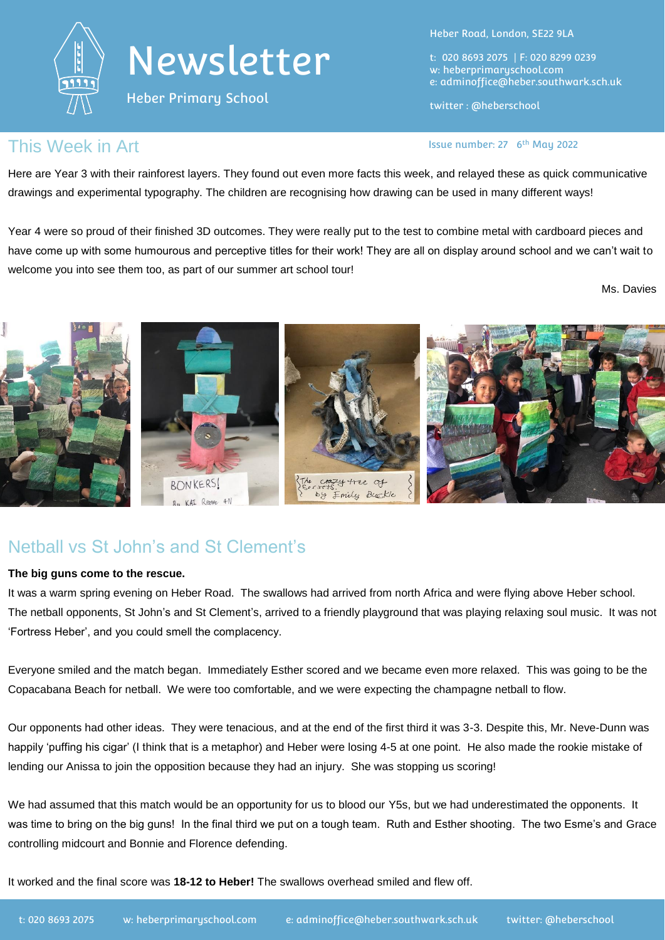

Heber Primary School

Heber Road, London, SE22 9LA

t: 020 8693 2075 | F: 020 8299 0239 w: heberprimaryschool.com e: [adminoffice@heber.southwark.sch.uk](mailto:adminoffice@heber.southwark.sch.uk)

twitter : @heberschool

Issue number: 27 6<sup>th</sup> May 2022

#### This Week in Art **Interpretate Contract Contract Contract Contract Contract Contract Contract Contract Contract Contract Contract Contract Contract Contract Contract Contract Contract Contract Contract Contract Contract Co**

Here are Year 3 with their rainforest layers. They found out even more facts this week, and relayed these as quick communicative drawings and experimental typography. The children are recognising how drawing can be used in many different ways!

Year 4 were so proud of their finished 3D outcomes. They were really put to the test to combine metal with cardboard pieces and have come up with some humourous and perceptive titles for their work! They are all on display around school and we can't wait to welcome you into see them too, as part of our summer art school tour!

Ms. Davies



### Netball vs St John's and St Clement's

#### **The big guns come to the rescue.**

It was a warm spring evening on Heber Road. The swallows had arrived from north Africa and were flying above Heber school. The netball opponents, St John's and St Clement's, arrived to a friendly playground that was playing relaxing soul music. It was not 'Fortress Heber', and you could smell the complacency.

Everyone smiled and the match began. Immediately Esther scored and we became even more relaxed. This was going to be the Copacabana Beach for netball. We were too comfortable, and we were expecting the champagne netball to flow.

Our opponents had other ideas. They were tenacious, and at the end of the first third it was 3-3. Despite this, Mr. Neve-Dunn was happily 'puffing his cigar' (I think that is a metaphor) and Heber were losing 4-5 at one point. He also made the rookie mistake of lending our Anissa to join the opposition because they had an injury. She was stopping us scoring!

We had assumed that this match would be an opportunity for us to blood our Y5s, but we had underestimated the opponents. It was time to bring on the big guns! In the final third we put on a tough team. Ruth and Esther shooting. The two Esme's and Grace controlling midcourt and Bonnie and Florence defending.

It worked and the final score was **18-12 to Heber!** The swallows overhead smiled and flew off.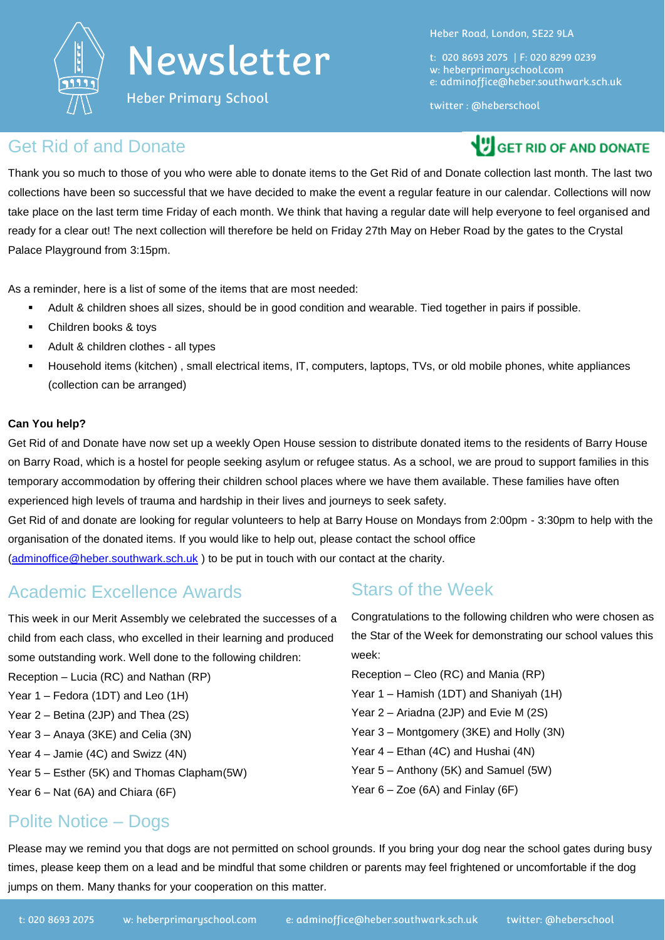

Heber Primary School

Heber Road, London, SE22 9LA

t: 020 8693 2075 | F: 020 8299 0239 w: heberprimaryschool.com e: [adminoffice@heber.southwark.sch.uk](mailto:adminoffice@heber.southwark.sch.uk)

twitter : @heberschool

#### Get Rid of and Donate

**VIGET RID OF AND DONATE** 

Thank you so much to those of you who were able to donate items to the Get Rid of and Donate collection last month. The last two collections have been so successful that we have decided to make the event a regular feature in our calendar. Collections will now take place on the last term time Friday of each month. We think that having a regular date will help everyone to feel organised and ready for a clear out! The next collection will therefore be held on Friday 27th May on Heber Road by the gates to the Crystal Palace Playground from 3:15pm.

As a reminder, here is a list of some of the items that are most needed:

- Adult & children shoes all sizes, should be in good condition and wearable. Tied together in pairs if possible.
- **Children books & toys**
- Adult & children clothes all types
- Household items (kitchen) , small electrical items, IT, computers, laptops, TVs, or old mobile phones, white appliances (collection can be arranged)

#### **Can You help?**

Get Rid of and Donate have now set up a weekly Open House session to distribute donated items to the residents of Barry House on Barry Road, which is a hostel for people seeking asylum or refugee status. As a school, we are proud to support families in this temporary accommodation by offering their children school places where we have them available. These families have often experienced high levels of trauma and hardship in their lives and journeys to seek safety.

Get Rid of and donate are looking for regular volunteers to help at Barry House on Mondays from 2:00pm - 3:30pm to help with the organisation of the donated items. If you would like to help out, please contact the school office [\(adminoffice@heber.southwark.sch.uk](mailto:adminoffice@heber.southwark.sch.uk) ) to be put in touch with our contact at the charity.

## Academic Excellence Awards

This week in our Merit Assembly we celebrated the successes of a child from each class, who excelled in their learning and produced some outstanding work. Well done to the following children: Reception – Lucia (RC) and Nathan (RP) Year 1 – Fedora (1DT) and Leo (1H)

Year 2 – Betina (2JP) and Thea (2S)

- 
- Year 3 Anaya (3KE) and Celia (3N) Year 4 – Jamie (4C) and Swizz (4N)
- Year 5 Esther (5K) and Thomas Clapham(5W)
- Year 6 Nat (6A) and Chiara (6F)

### Stars of the Week

Congratulations to the following children who were chosen as the Star of the Week for demonstrating our school values this week:

Reception – Cleo (RC) and Mania (RP) Year 1 – Hamish (1DT) and Shaniyah (1H) Year 2 – Ariadna (2JP) and Evie M (2S) Year 3 – Montgomery (3KE) and Holly (3N) Year 4 – Ethan (4C) and Hushai (4N) Year 5 – Anthony (5K) and Samuel (5W) Year 6 – Zoe (6A) and Finlay (6F)

### Polite Notice – Dogs

Please may we remind you that dogs are not permitted on school grounds. If you bring your dog near the school gates during busy times, please keep them on a lead and be mindful that some children or parents may feel frightened or uncomfortable if the dog jumps on them. Many thanks for your cooperation on this matter.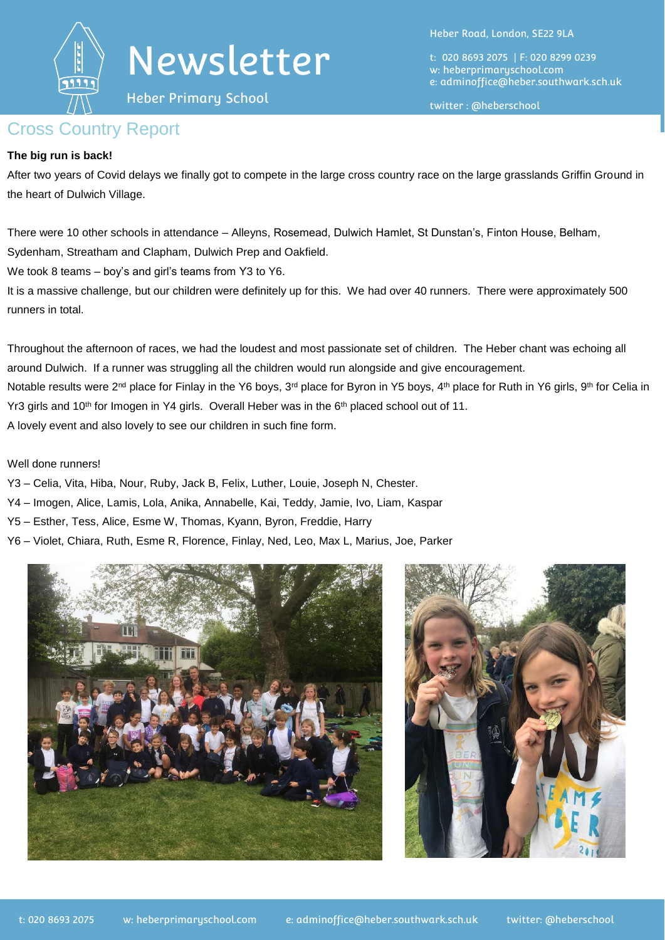

Heber Primary School

Heber Road, London, SE22 9LA

t: 020 8693 2075 | F: 020 8299 0239 w: heberprimaryschool.com e: [adminoffice@heber.southwark.sch.uk](mailto:adminoffice@heber.southwark.sch.uk)

twitter : @heberschool

#### Cross Country Report

#### **The big run is back!**

After two years of Covid delays we finally got to compete in the large cross country race on the large grasslands Griffin Ground in the heart of Dulwich Village.

There were 10 other schools in attendance – Alleyns, Rosemead, Dulwich Hamlet, St Dunstan's, Finton House, Belham, Sydenham, Streatham and Clapham, Dulwich Prep and Oakfield.

We took 8 teams – boy's and girl's teams from Y3 to Y6.

It is a massive challenge, but our children were definitely up for this. We had over 40 runners. There were approximately 500 runners in total.

Throughout the afternoon of races, we had the loudest and most passionate set of children. The Heber chant was echoing all around Dulwich. If a runner was struggling all the children would run alongside and give encouragement. Notable results were 2<sup>nd</sup> place for Finlay in the Y6 boys, 3<sup>rd</sup> place for Byron in Y5 boys, 4<sup>th</sup> place for Ruth in Y6 girls, 9<sup>th</sup> for Celia in Yr3 girls and 10<sup>th</sup> for Imogen in Y4 girls. Overall Heber was in the 6<sup>th</sup> placed school out of 11. A lovely event and also lovely to see our children in such fine form.

Well done runners!

- Y3 Celia, Vita, Hiba, Nour, Ruby, Jack B, Felix, Luther, Louie, Joseph N, Chester.
- Y4 Imogen, Alice, Lamis, Lola, Anika, Annabelle, Kai, Teddy, Jamie, Ivo, Liam, Kaspar
- Y5 Esther, Tess, Alice, Esme W, Thomas, Kyann, Byron, Freddie, Harry
- Y6 Violet, Chiara, Ruth, Esme R, Florence, Finlay, Ned, Leo, Max L, Marius, Joe, Parker



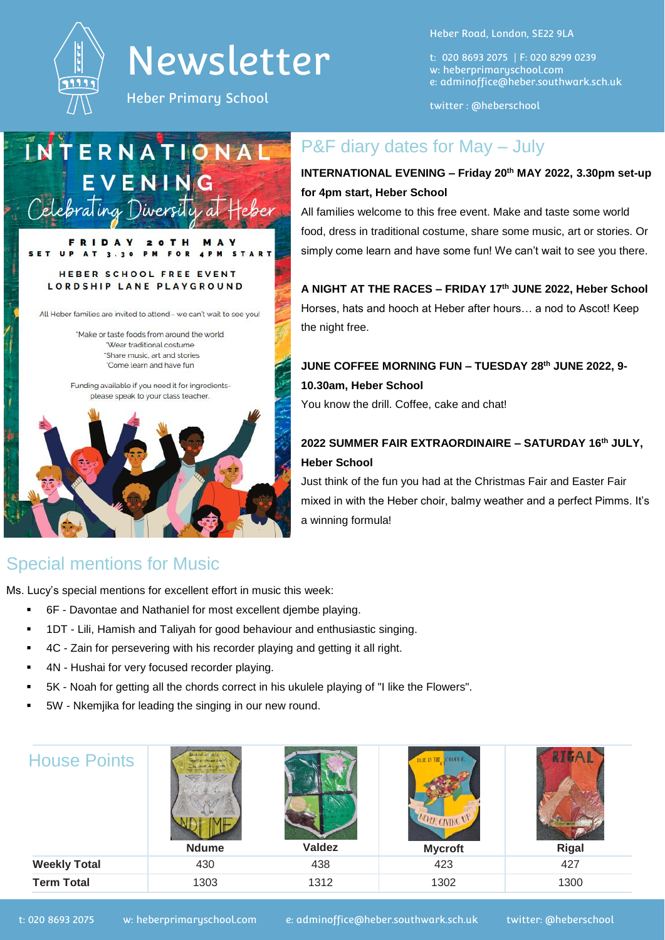

Heber Primary School

м

Heber Road, London, SE22 9LA

t: 020 8693 2075 | F: 020 8299 0239 w: heberprimaryschool.com e: [adminoffice@heber.southwark.sch.uk](mailto:adminoffice@heber.southwark.sch.uk)

twitter : @heberschool

# INTERNATIONA EVENING Celebrating Diversity a

 $\Omega$ 

#### **FOR** HEBER SCHOOL FREE EVENT LORDSHIP LANE PLAYGROUND

All Heber families are invited to attend - we can't wait to see you!

'Make or taste foods from around the world "Wear traditional costume 'Share music, art and stories 'Come learn and have fun

Funding available if you need it for ingredientsplease speak to your class teacher.



## Special mentions for Music

Ms. Lucy's special mentions for excellent effort in music this week:

- 6F Davontae and Nathaniel for most excellent djembe playing.
- 1DT Lili, Hamish and Taliyah for good behaviour and enthusiastic singing.
- **4C** Zain for persevering with his recorder playing and getting it all right.
- 4N Hushai for very focused recorder playing.
- 5K Noah for getting all the chords correct in his ukulele playing of "I like the Flowers".
- 5W Nkemjika for leading the singing in our new round.

| <b>House Points</b> | dad weekeld<br>her we can buil<br>uve in use<br><b>Ndume</b> | <b>Valdez</b> | <b>COLOUE</b><br>BUJE IS THE<br>MULK GIVING UN<br><b>Mycroft</b> | Rigal |
|---------------------|--------------------------------------------------------------|---------------|------------------------------------------------------------------|-------|
| <b>Weekly Total</b> | 430                                                          | 438           | 423                                                              | 427   |
| <b>Term Total</b>   | 1303                                                         | 1312          | 1302                                                             | 1300  |

### P&F diary dates for May - July

#### **INTERNATIONAL EVENING – Friday 20th MAY 2022, 3.30pm set-up for 4pm start, Heber School**

All families welcome to this free event. Make and taste some world food, dress in traditional costume, share some music, art or stories. Or simply come learn and have some fun! We can't wait to see you there.

**A NIGHT AT THE RACES – FRIDAY 17th JUNE 2022, Heber School** Horses, hats and hooch at Heber after hours… a nod to Ascot! Keep the night free.

**JUNE COFFEE MORNING FUN – TUESDAY 28th JUNE 2022, 9- 10.30am, Heber School**

You know the drill. Coffee, cake and chat!

#### **2022 SUMMER FAIR EXTRAORDINAIRE – SATURDAY 16th JULY, Heber School**

Just think of the fun you had at the Christmas Fair and Easter Fair mixed in with the Heber choir, balmy weather and a perfect Pimms. It's a winning formula!